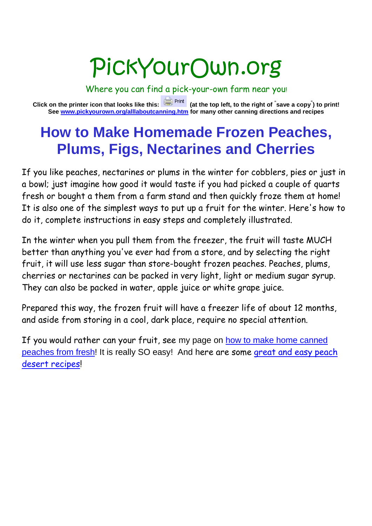# PickYourOwn.org

Where you can find a pick-your-own farm near you! **Click on the printer icon that looks like this: (at the top left, to the right of " save a copy" ) to print! See www.pickyourown.org/alllaboutcanning.htm for many other canning directions and recipes**

## **How to Make Homemade Frozen Peaches, Plums, Figs, Nectarines and Cherries**

If you like peaches, nectarines or plums in the winter for cobblers, pies or just in a bowl; just imagine how good it would taste if you had picked a couple of quarts fresh or bought a them from a farm stand and then quickly froze them at home! It is also one of the simplest ways to put up a fruit for the winter. Here's how to do it, complete instructions in easy steps and completely illustrated.

In the winter when you pull them from the freezer, the fruit will taste MUCH better than anything you've ever had from a store, and by selecting the right fruit, it will use less sugar than store-bought frozen peaches. Peaches, plums, cherries or nectarines can be packed in very light, light or medium sugar syrup. They can also be packed in water, apple juice or white grape juice.

Prepared this way, the frozen fruit will have a freezer life of about 12 months, and aside from storing in a cool, dark place, require no special attention.

If you would rather can your fruit, see my page on how to make home canned peaches from fresh! It is really SO easy! And here are some great and easy peach desert recipes!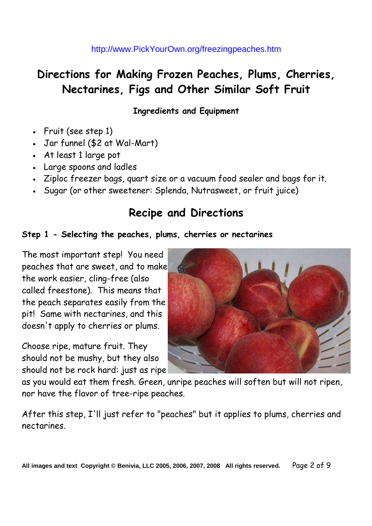## **Directions for Making Frozen Peaches, Plums, Cherries, Nectarines, Figs and Other Similar Soft Fruit**

**Ingredients and Equipment**

- Fruit (see step 1)
- Jar funnel (\$2 at Wal-Mart)
- At least 1 large pot
- Large spoons and ladles
- Ziploc freezer bags, quart size or a vacuum food sealer and bags for it.
- Sugar (or other sweetener: Splenda, Nutrasweet, or fruit juice)

### **Recipe and Directions**

#### **Step 1 - Selecting the peaches, plums, cherries or nectarines**

The most important step! You need peaches that are sweet, and to make the work easier, cling-free (also called freestone). This means that the peach separates easily from the pit! Same with nectarines, and this doesn't apply to cherries or plums.

Choose ripe, mature fruit. They should not be mushy, but they also should not be rock hard: just as ripe



as you would eat them fresh. Green, unripe peaches will soften but will not ripen, nor have the flavor of tree-ripe peaches.

After this step, I'll just refer to "peaches" but it applies to plums, cherries and nectarines.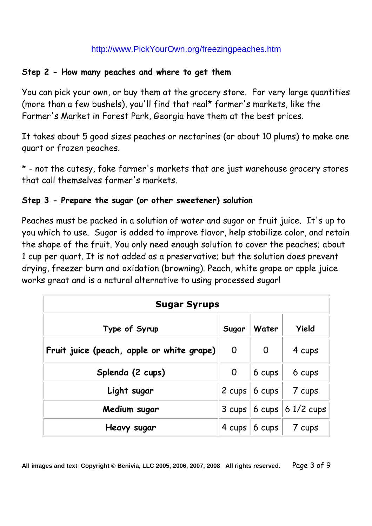#### **Step 2 - How many peaches and where to get them**

You can pick your own, or buy them at the grocery store. For very large quantities (more than a few bushels), you'll find that real\* farmer's markets, like the Farmer's Market in Forest Park, Georgia have them at the best prices.

It takes about 5 good sizes peaches or nectarines (or about 10 plums) to make one quart or frozen peaches.

\* - not the cutesy, fake farmer's markets that are just warehouse grocery stores that call themselves farmer's markets.

#### **Step 3 - Prepare the sugar (or other sweetener) solution**

Peaches must be packed in a solution of water and sugar or fruit juice. It's up to you which to use. Sugar is added to improve flavor, help stabilize color, and retain the shape of the fruit. You only need enough solution to cover the peaches; about 1 cup per quart. It is not added as a preservative; but the solution does prevent drying, freezer burn and oxidation (browning). Peach, white grape or apple juice works great and is a natural alternative to using processed sugar!

| <b>Sugar Syrups</b>                       |                |                  |              |
|-------------------------------------------|----------------|------------------|--------------|
| Type of Syrup                             | Sugar          | Water            | <b>Yield</b> |
| Fruit juice (peach, apple or white grape) | $\overline{0}$ | $\overline{O}$   | 4 cups       |
| Splenda (2 cups)                          | 0              | 6 cups           | 6 cups       |
| Light sugar                               | 2 cups         | 6 cups           | 7 cups       |
| Medium sugar                              | 3 cups         | $6 \text{ cups}$ | $61/2$ cups  |
| Heavy sugar                               | 4 cups         | 6 cups           | 7 cups       |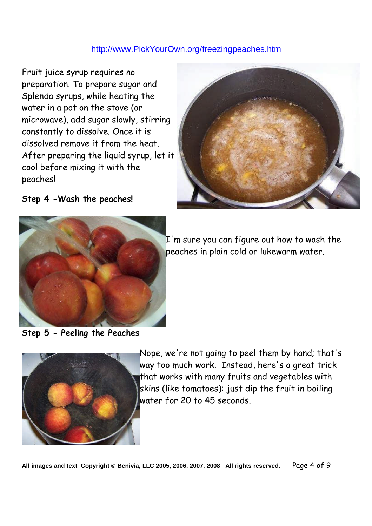Fruit juice syrup requires no preparation. To prepare sugar and Splenda syrups, while heating the water in a pot on the stove (or microwave), add sugar slowly, stirring constantly to dissolve. Once it is dissolved remove it from the heat. After preparing the liquid syrup, let it cool before mixing it with the peaches!



**Step 4 -Wash the peaches!**



I'm sure you can figure out how to wash the peaches in plain cold or lukewarm water.

**Step 5 - Peeling the Peaches**



Nope, we're not going to peel them by hand; that's way too much work. Instead, here's a great trick that works with many fruits and vegetables with skins (like tomatoes): just dip the fruit in boiling water for 20 to 45 seconds.

**All images and text Copyright © Benivia, LLC 2005, 2006, 2007, 2008 All rights reserved.** Page 4 of 9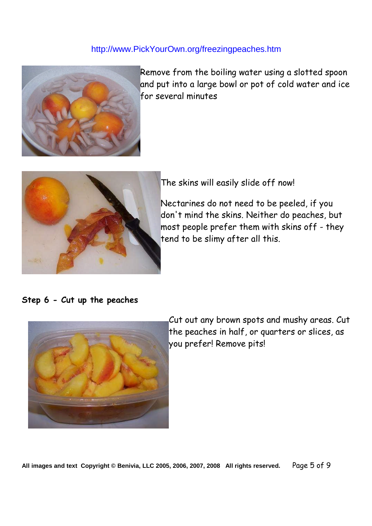

Remove from the boiling water using a slotted spoon and put into a large bowl or pot of cold water and ice for several minutes



The skins will easily slide off now!

Nectarines do not need to be peeled, if you don't mind the skins. Neither do peaches, but most people prefer them with skins off - they tend to be slimy after all this.

#### **Step 6 - Cut up the peaches**



Cut out any brown spots and mushy areas. Cut the peaches in half, or quarters or slices, as you prefer! Remove pits!

**All images and text Copyright © Benivia, LLC 2005, 2006, 2007, 2008 All rights reserved.** Page 5 of 9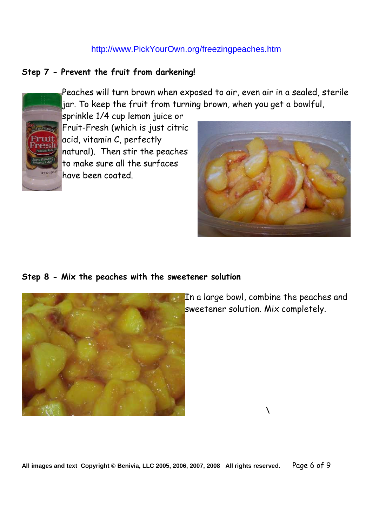#### **Step 7 - Prevent the fruit from darkening!**



Peaches will turn brown when exposed to air, even air in a sealed, sterile jar. To keep the fruit from turning brown, when you get a bowlful,

sprinkle 1/4 cup lemon juice or Fruit-Fresh (which is just citric acid, vitamin C, perfectly natural). Then stir the peaches to make sure all the surfaces have been coated.



#### **Step 8 - Mix the peaches with the sweetener solution**



In a large bowl, combine the peaches and sweetener solution. Mix completely.

\

**All images and text Copyright © Benivia, LLC 2005, 2006, 2007, 2008 All rights reserved.** Page 6 of 9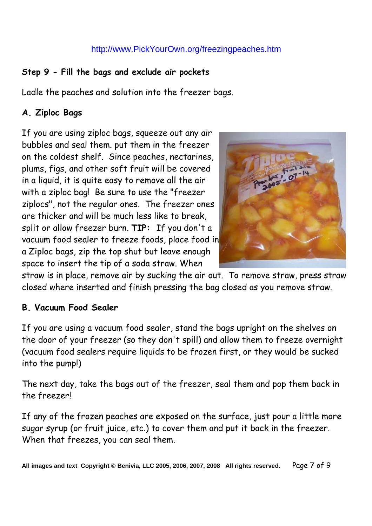#### **Step 9 - Fill the bags and exclude air pockets**

Ladle the peaches and solution into the freezer bags.

#### **A. Ziploc Bags**

If you are using ziploc bags, squeeze out any air bubbles and seal them. put them in the freezer on the coldest shelf. Since peaches, nectarines, plums, figs, and other soft fruit will be covered in a liquid, it is quite easy to remove all the air with a ziploc bag! Be sure to use the "freezer ziplocs", not the regular ones. The freezer ones are thicker and will be much less like to break, split or allow freezer burn. **TIP:** If you don't a vacuum food sealer to freeze foods, place food in a Ziploc bags, zip the top shut but leave enough space to insert the tip of a soda straw. When



straw is in place, remove air by sucking the air out. To remove straw, press straw closed where inserted and finish pressing the bag closed as you remove straw.

#### **B. Vacuum Food Sealer**

If you are using a vacuum food sealer, stand the bags upright on the shelves on the door of your freezer (so they don't spill) and allow them to freeze overnight (vacuum food sealers require liquids to be frozen first, or they would be sucked into the pump!)

The next day, take the bags out of the freezer, seal them and pop them back in the freezer!

If any of the frozen peaches are exposed on the surface, just pour a little more sugar syrup (or fruit juice, etc.) to cover them and put it back in the freezer. When that freezes, you can seal them.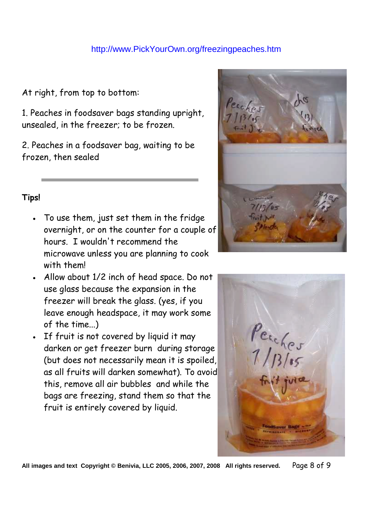At right, from top to bottom:

1. Peaches in foodsaver bags standing upright, unsealed, in the freezer; to be frozen.

2. Peaches in a foodsaver bag, waiting to be frozen, then sealed

#### **Tips!**

- To use them, just set them in the fridge overnight, or on the counter for a couple of hours. I wouldn't recommend the microwave unless you are planning to cook with them!
- Allow about 1/2 inch of head space. Do not use glass because the expansion in the freezer will break the glass. (yes, if you leave enough headspace, it may work some of the time...)
- If fruit is not covered by liquid it may darken or get freezer burn during storage (but does not necessarily mean it is spoiled, as all fruits will darken somewhat). To avoid this, remove all air bubbles and while the bags are freezing, stand them so that the fruit is entirely covered by liquid.





**All images and text Copyright © Benivia, LLC 2005, 2006, 2007, 2008 All rights reserved.** Page 8 of 9